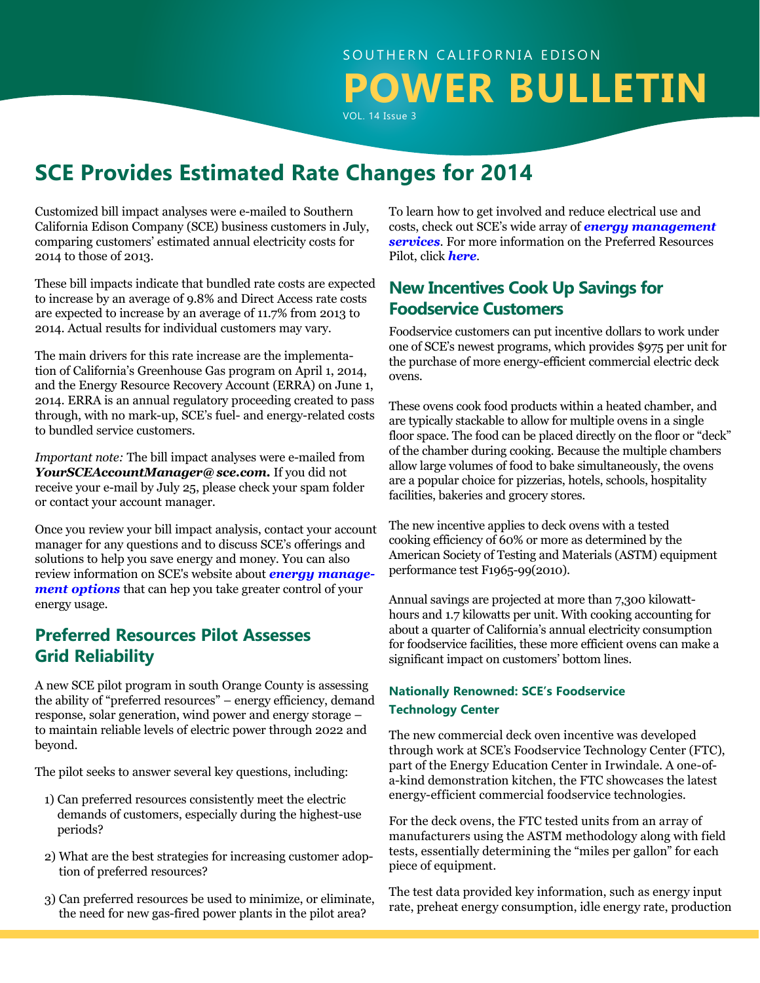**SCE Provides Estimated Rate Changes for 2014**

Customized bill impact analyses were e-mailed to Southern California Edison Company (SCE) business customers in July, comparing customers' estimated annual electricity costs for 2014 to those of 2013.

These bill impacts indicate that bundled rate costs are expected to increase by an average of 9.8% and Direct Access rate costs are expected to increase by an average of 11.7% from 2013 to 2014. Actual results for individual customers may vary.

The main drivers for this rate increase are the implementation of California's Greenhouse Gas program on April 1, 2014, and the Energy Resource Recovery Account (ERRA) on June 1, 2014. ERRA is an annual regulatory proceeding created to pass through, with no mark-up, SCE's fuel- and energy-related costs to bundled service customers.

*Important note:* The bill impact analyses were e-mailed from *YourSCEAccountManager@sce.com.* If you did not receive your e-mail by July 25, please check your spam folder or contact your account manager.

Once you review your bill impact analysis, contact your account manager for any questions and to discuss SCE's offerings and solutions to help you save energy and money. You can also review information on SCE's website about *[energy manage](https://www.sce.com/wps/portal/home/business/savings-incentives/!ut/p/b1/pZNLc4IwFIV_SxcuM7lAgGQJU4uo1SqOVTYMj4RiNepAbfvvGx8zHZ0qWrPKndx8OTk5wSGe4FDGmyKPq2Ip4_m2Dq1Io57T8gPwaXdsg-96wWD8MgbHBPyKQxymslpVb3hapjxKl7Lisoq4bMBh3oDkoywkL8sGlIou8xIVMlUrxYaXW8AqznnGyyKXuyotMjxlAIagDBAYlCOSWQmKhU6RbUKWWSYTGsuUvqnSB2eGA8fyvaGtg98eN7t9V9OB6If9Fxpqrh9wubegRsWugXnQbLX76pjRwADfGEAvcBwDwMJTpcM-q6Oj4eDXGCooYZlBETWJQMTOBGJU4yhhuiVimpg6SeqA5F5g3_RAWdH0Os_uCJh9O7B9xdsUs_U6dFTAtkH6qvCkNmGnOk-erHvk5FURuww07buBw8GjAhpW03KfQAvIzcB2XUr_5eSff3W1WNCZ6HTJu-j1UJxQMMz5ZrGI9tX3p_Pw8AN46vQ4/dl4/d5/L2dBISEvZ0FBIS9nQSEh/)[ment options](https://www.sce.com/wps/portal/home/business/savings-incentives/!ut/p/b1/pZNLc4IwFIV_SxcuM7lAgGQJU4uo1SqOVTYMj4RiNepAbfvvGx8zHZ0qWrPKndx8OTk5wSGe4FDGmyKPq2Ip4_m2Dq1Io57T8gPwaXdsg-96wWD8MgbHBPyKQxymslpVb3hapjxKl7Lisoq4bMBh3oDkoywkL8sGlIou8xIVMlUrxYaXW8AqznnGyyKXuyotMjxlAIagDBAYlCOSWQmKhU6RbUKWWSYTGsuUvqnSB2eGA8fyvaGtg98eN7t9V9OB6If9Fxpqrh9wubegRsWugXnQbLX76pjRwADfGEAvcBwDwMJTpcM-q6Oj4eDXGCooYZlBETWJQMTOBGJU4yhhuiVimpg6SeqA5F5g3_RAWdH0Os_uCJh9O7B9xdsUs_U6dFTAtkH6qvCkNmGnOk-erHvk5FURuww07buBw8GjAhpW03KfQAvIzcB2XUr_5eSff3W1WNCZ6HTJu-j1UJxQMMz5ZrGI9tX3p_Pw8AN46vQ4/dl4/d5/L2dBISEvZ0FBIS9nQSEh/)* that can hep you take greater control of your energy usage.

## **Preferred Resources Pilot Assesses Grid Reliability**

A new SCE pilot program in south Orange County is assessing the ability of "preferred resources" – energy efficiency, demand response, solar generation, wind power and energy storage – to maintain reliable levels of electric power through 2022 and beyond.

The pilot seeks to answer several key questions, including:

- 1) Can preferred resources consistently meet the electric demands of customers, especially during the highest-use periods?
- 2) What are the best strategies for increasing customer adoption of preferred resources?
- 3) Can preferred resources be used to minimize, or eliminate, the need for new gas-fired power plants in the pilot area?

To learn how to get involved and reduce electrical use and costs, check out SCE's wide array of *[energy management](https://www.sce.com/wps/portal/home/business/!ut/p/b1/04_Sj9CPykssy0xPLMnMz0vMAfGjzOINLdwdPTyDDTzdg8yNDDy9wlx9_J0MjQxMjIAKIoEKDHAARwNC-sP1o8BKLN0NXD28_IFKQgKNDTyNAw38gh0djQ0MzKAK8FhRkBthkOmoqAgAS2tzeQ!!/dl4/d5/L2dBISEvZ0FBIS9nQSEh/?from=business
)  [services](https://www.sce.com/wps/portal/home/business/!ut/p/b1/04_Sj9CPykssy0xPLMnMz0vMAfGjzOINLdwdPTyDDTzdg8yNDDy9wlx9_J0MjQxMjIAKIoEKDHAARwNC-sP1o8BKLN0NXD28_IFKQgKNDTyNAw38gh0djQ0MzKAK8FhRkBthkOmoqAgAS2tzeQ!!/dl4/d5/L2dBISEvZ0FBIS9nQSEh/?from=business
)*. For more information on the Preferred Resources Pilot, click *[here](https://www.sce.com/wps/portal/home/about-us/reliability/meeting-demand/our-preferred-resources-pilot/!ut/p/b1/hc-xDoIwGATgR-qVFijjTyDlr4lKaiJ2MZ1ME0UH4_MLhlW47ZLvhhNBDCKM8ZNu8Z2eY7zPPRRXxw1JqzO23rSgXX7MqkbCQE7gMgH8CWFrfxbhR6Sx1LEH25POwXVWKluzKn2-DhqHDaD1AiqLtnOHGfQKrHrsPZECigWsvHg9BiRO9AXFMTC8/dl4/d5/L2dBISEvZ0FBIS9nQSEh/)*.

## **New Incentives Cook Up Savings for Foodservice Customers**

Foodservice customers can put incentive dollars to work under one of SCE's newest programs, which provides \$975 per unit for the purchase of more energy-efficient commercial electric deck ovens.

These ovens cook food products within a heated chamber, and are typically stackable to allow for multiple ovens in a single floor space. The food can be placed directly on the floor or "deck" of the chamber during cooking. Because the multiple chambers allow large volumes of food to bake simultaneously, the ovens are a popular choice for pizzerias, hotels, schools, hospitality facilities, bakeries and grocery stores.

The new incentive applies to deck ovens with a tested cooking efficiency of 60% or more as determined by the American Society of Testing and Materials (ASTM) equipment performance test F1965-99(2010).

Annual savings are projected at more than 7,300 kilowatthours and 1.7 kilowatts per unit. With cooking accounting for about a quarter of California's annual electricity consumption for foodservice facilities, these more efficient ovens can make a significant impact on customers' bottom lines.

### **Nationally Renowned: SCE's Foodservice Technology Center**

The new commercial deck oven incentive was developed through work at SCE's Foodservice Technology Center (FTC), part of the Energy Education Center in Irwindale. A one-ofa-kind demonstration kitchen, the FTC showcases the latest energy-efficient commercial foodservice technologies.

For the deck ovens, the FTC tested units from an array of manufacturers using the ASTM methodology along with field tests, essentially determining the "miles per gallon" for each piece of equipment.

The test data provided key information, such as energy input rate, preheat energy consumption, idle energy rate, production